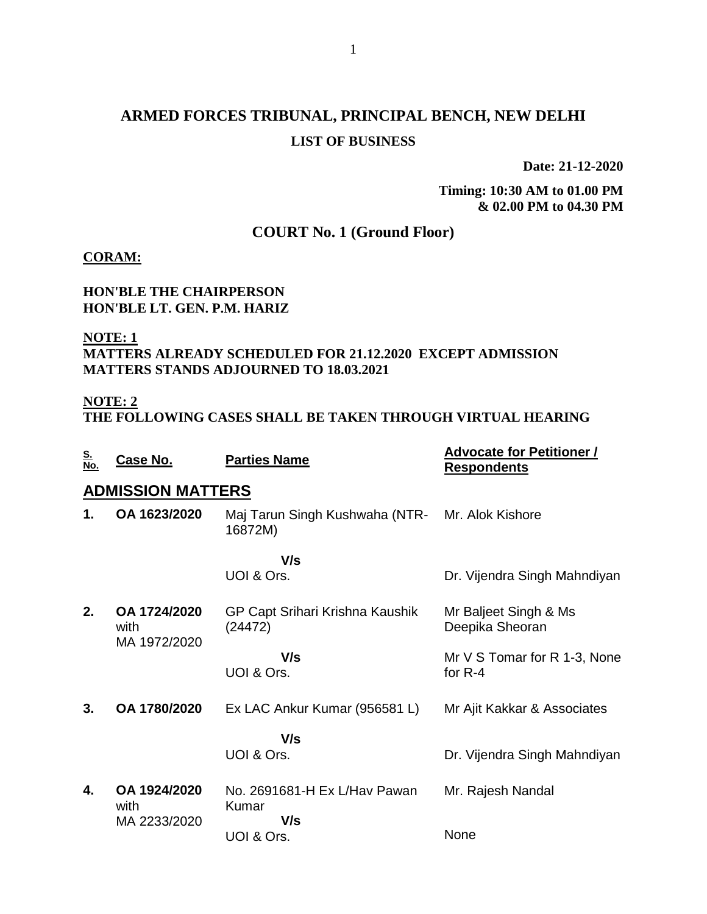# **ARMED FORCES TRIBUNAL, PRINCIPAL BENCH, NEW DELHI LIST OF BUSINESS**

**Date: 21-12-2020**

**Timing: 10:30 AM to 01.00 PM & 02.00 PM to 04.30 PM**

## **COURT No. 1 (Ground Floor)**

#### **CORAM:**

#### **HON'BLE THE CHAIRPERSON HON'BLE LT. GEN. P.M. HARIZ**

#### **NOTE: 1 MATTERS ALREADY SCHEDULED FOR 21.12.2020 EXCEPT ADMISSION MATTERS STANDS ADJOURNED TO 18.03.2021**

### **NOTE: 2**

**THE FOLLOWING CASES SHALL BE TAKEN THROUGH VIRTUAL HEARING**

| <u>S.<br/>No.</u> | Case No.                             | <b>Parties Name</b>                                        | <b>Advocate for Petitioner /</b><br><b>Respondents</b> |
|-------------------|--------------------------------------|------------------------------------------------------------|--------------------------------------------------------|
|                   | <b>ADMISSION MATTERS</b>             |                                                            |                                                        |
| 1.                | OA 1623/2020                         | Maj Tarun Singh Kushwaha (NTR- Mr. Alok Kishore<br>16872M) |                                                        |
|                   |                                      | V/s<br>UOI & Ors.                                          | Dr. Vijendra Singh Mahndiyan                           |
| 2.                | OA 1724/2020<br>with<br>MA 1972/2020 | GP Capt Srihari Krishna Kaushik<br>(24472)                 | Mr Baljeet Singh & Ms<br>Deepika Sheoran               |
|                   |                                      | V/s<br>UOI & Ors.                                          | Mr V S Tomar for R 1-3, None<br>for $R-4$              |
| 3.                | OA 1780/2020                         | Ex LAC Ankur Kumar (956581 L)                              | Mr Ajit Kakkar & Associates                            |
|                   |                                      | V/s<br>UOI & Ors.                                          | Dr. Vijendra Singh Mahndiyan                           |
| 4.                | OA 1924/2020<br>with                 | No. 2691681-H Ex L/Hav Pawan<br><b>Kumar</b>               | Mr. Rajesh Nandal                                      |
|                   | MA 2233/2020                         | V/s<br>UOI & Ors.                                          | None                                                   |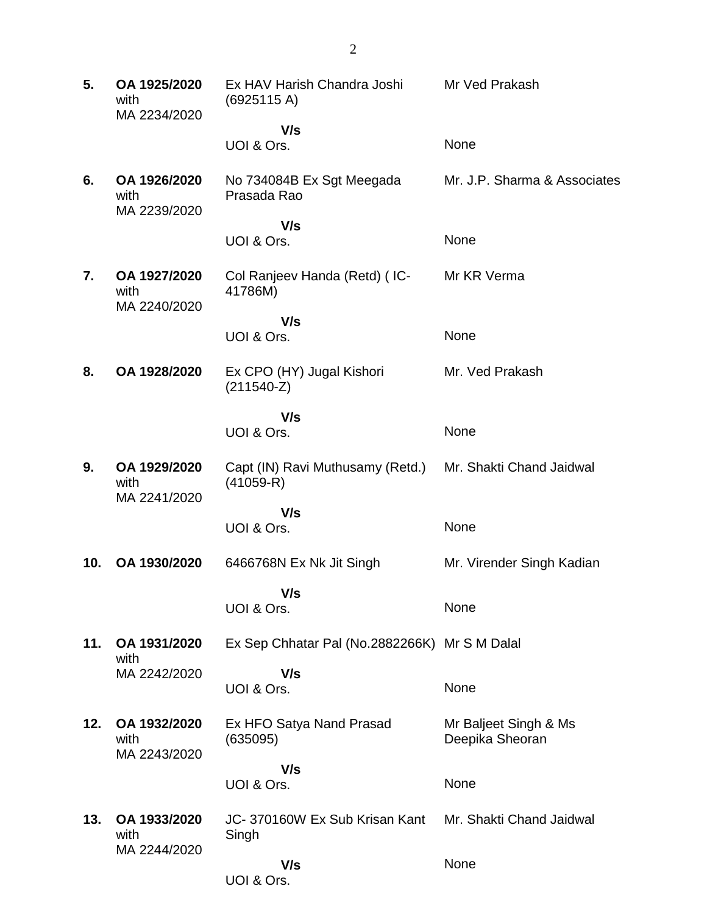| 5.  | OA 1925/2020<br>with<br>MA 2234/2020 | Ex HAV Harish Chandra Joshi<br>(6925115 A)      | Mr Ved Prakash                           |
|-----|--------------------------------------|-------------------------------------------------|------------------------------------------|
|     |                                      | V/s                                             |                                          |
|     |                                      | UOI & Ors.                                      | None                                     |
| 6.  | OA 1926/2020<br>with<br>MA 2239/2020 | No 734084B Ex Sgt Meegada<br>Prasada Rao        | Mr. J.P. Sharma & Associates             |
|     |                                      | V/s                                             |                                          |
|     |                                      | UOI & Ors.                                      | None                                     |
| 7.  | OA 1927/2020<br>with<br>MA 2240/2020 | Col Ranjeev Handa (Retd) (IC-<br>41786M)        | Mr KR Verma                              |
|     |                                      | V/s                                             |                                          |
|     |                                      | UOI & Ors.                                      | None                                     |
| 8.  | OA 1928/2020                         | Ex CPO (HY) Jugal Kishori<br>$(211540-Z)$       | Mr. Ved Prakash                          |
|     |                                      | V/s                                             |                                          |
|     |                                      | UOI & Ors.                                      | None                                     |
| 9.  | OA 1929/2020<br>with<br>MA 2241/2020 | Capt (IN) Ravi Muthusamy (Retd.)<br>$(41059-R)$ | Mr. Shakti Chand Jaidwal                 |
|     |                                      | V/s                                             |                                          |
|     |                                      | UOI & Ors.                                      | None                                     |
| 10. | OA 1930/2020                         | 6466768N Ex Nk Jit Singh                        | Mr. Virender Singh Kadian                |
|     |                                      | V/s<br>UOI & Ors.                               | None                                     |
|     |                                      |                                                 |                                          |
| 11. | OA 1931/2020                         | Ex Sep Chhatar Pal (No.2882266K) Mr S M Dalal   |                                          |
|     | with<br>MA 2242/2020                 | V/s                                             |                                          |
|     |                                      | UOI & Ors.                                      | None                                     |
| 12. | OA 1932/2020<br>with<br>MA 2243/2020 | Ex HFO Satya Nand Prasad<br>(635095)            | Mr Baljeet Singh & Ms<br>Deepika Sheoran |
|     |                                      | V/s                                             |                                          |
|     |                                      | UOI & Ors.                                      | None                                     |
| 13. | OA 1933/2020<br>with<br>MA 2244/2020 | JC-370160W Ex Sub Krisan Kant<br>Singh          | Mr. Shakti Chand Jaidwal                 |
|     |                                      | V/s<br>UOI & Ors.                               | None                                     |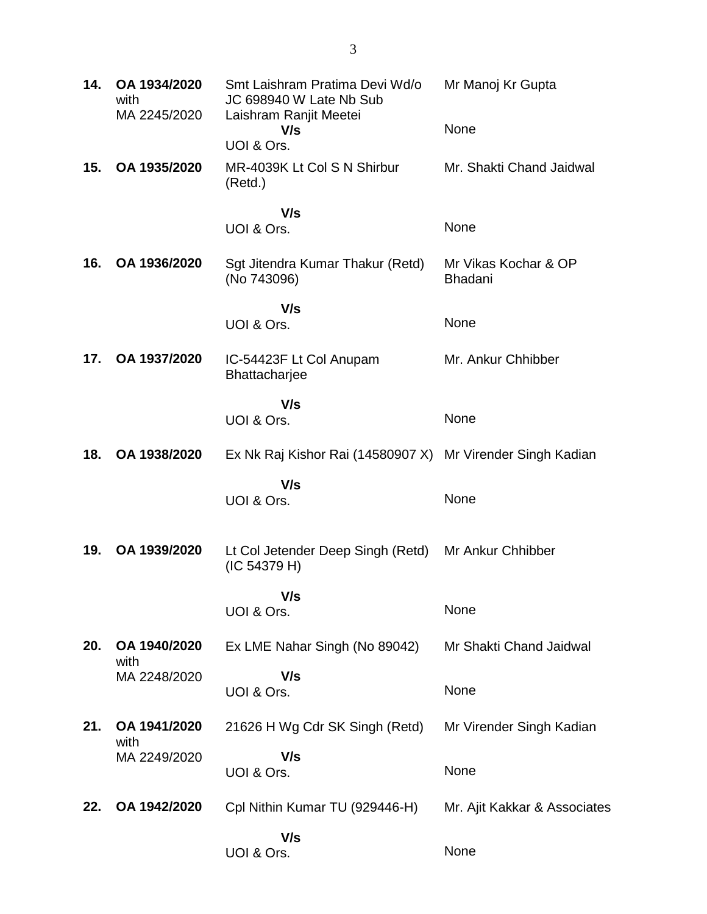| 14. | OA 1934/2020<br>with<br>MA 2245/2020 | Smt Laishram Pratima Devi Wd/o<br>JC 698940 W Late Nb Sub<br>Laishram Ranjit Meetei | Mr Manoj Kr Gupta                      |
|-----|--------------------------------------|-------------------------------------------------------------------------------------|----------------------------------------|
|     |                                      | V/s<br>UOI & Ors.                                                                   | None                                   |
| 15. | OA 1935/2020                         | MR-4039K Lt Col S N Shirbur<br>(Retd.)                                              | Mr. Shakti Chand Jaidwal               |
|     |                                      | V/s<br>UOI & Ors.                                                                   | None                                   |
| 16. | OA 1936/2020                         | Sgt Jitendra Kumar Thakur (Retd)<br>(No 743096)                                     | Mr Vikas Kochar & OP<br><b>Bhadani</b> |
|     |                                      | V/s<br>UOI & Ors.                                                                   | None                                   |
| 17. | OA 1937/2020                         | IC-54423F Lt Col Anupam<br>Bhattacharjee                                            | Mr. Ankur Chhibber                     |
|     |                                      | V/s<br>UOI & Ors.                                                                   | None                                   |
| 18. | OA 1938/2020                         | Ex Nk Raj Kishor Rai (14580907 X) Mr Virender Singh Kadian                          |                                        |
|     |                                      | V/s<br>UOI & Ors.                                                                   | None                                   |
| 19. | OA 1939/2020                         | Lt Col Jetender Deep Singh (Retd)<br>(IC 54379 H)                                   | Mr Ankur Chhibber                      |
|     |                                      | V/s<br>UOI & Ors.                                                                   | None                                   |
| 20. | OA 1940/2020<br>with                 | Ex LME Nahar Singh (No 89042)                                                       | Mr Shakti Chand Jaidwal                |
|     | MA 2248/2020                         | V/s<br>UOI & Ors.                                                                   | None                                   |
| 21. | OA 1941/2020<br>with                 | 21626 H Wg Cdr SK Singh (Retd)                                                      | Mr Virender Singh Kadian               |
|     | MA 2249/2020                         | V/s<br>UOI & Ors.                                                                   | None                                   |
| 22. | OA 1942/2020                         | Cpl Nithin Kumar TU (929446-H)                                                      | Mr. Ajit Kakkar & Associates           |
|     |                                      | V/s<br>UOI & Ors.                                                                   | None                                   |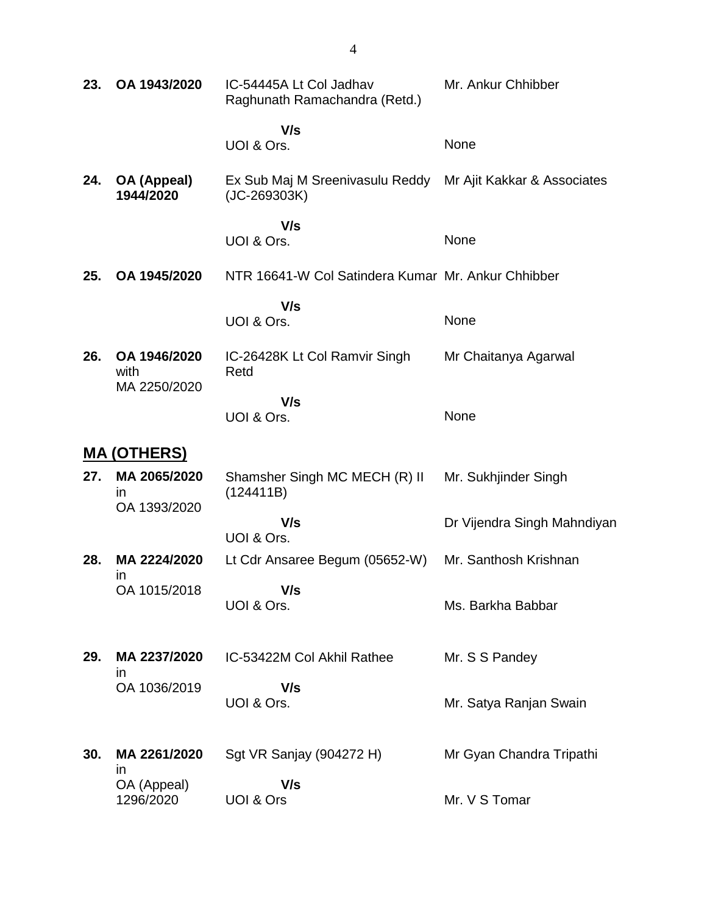| 23. | OA 1943/2020                         | IC-54445A Lt Col Jadhav<br>Raghunath Ramachandra (Retd.) | Mr. Ankur Chhibber          |
|-----|--------------------------------------|----------------------------------------------------------|-----------------------------|
|     |                                      | V/s                                                      |                             |
|     |                                      | UOI & Ors.                                               | None                        |
| 24. | OA (Appeal)<br>1944/2020             | Ex Sub Maj M Sreenivasulu Reddy<br>$(JC-269303K)$        | Mr Ajit Kakkar & Associates |
|     |                                      | V/s<br>UOI & Ors.                                        | None                        |
| 25. | OA 1945/2020                         | NTR 16641-W Col Satindera Kumar Mr. Ankur Chhibber       |                             |
|     |                                      | V/s<br>UOI & Ors.                                        | None                        |
| 26. | OA 1946/2020<br>with<br>MA 2250/2020 | IC-26428K Lt Col Ramvir Singh<br>Retd                    | Mr Chaitanya Agarwal        |
|     |                                      | V/s<br>UOI & Ors.                                        | None                        |
|     | <b>MA (OTHERS)</b>                   |                                                          |                             |
| 27. | MA 2065/2020<br>$\mathsf{I}$         | Shamsher Singh MC MECH (R) II<br>(124411B)               | Mr. Sukhjinder Singh        |
|     | OA 1393/2020                         | V/s<br>UOI & Ors.                                        | Dr Vijendra Singh Mahndiyan |
| 28. | MA 2224/2020<br>ın                   | Lt Cdr Ansaree Begum (05652-W)                           | Mr. Santhosh Krishnan       |
|     | OA 1015/2018                         | V/s<br>UOI & Ors.                                        | Ms. Barkha Babbar           |
| 29. | MA 2237/2020<br>ın                   | IC-53422M Col Akhil Rathee                               | Mr. S S Pandey              |
|     | OA 1036/2019                         | V/s<br>UOI & Ors.                                        | Mr. Satya Ranjan Swain      |
| 30. | MA 2261/2020<br>ın                   | Sgt VR Sanjay (904272 H)                                 | Mr Gyan Chandra Tripathi    |
|     | OA (Appeal)<br>1296/2020             | V/s<br><b>UOI &amp; Ors</b>                              | Mr. V S Tomar               |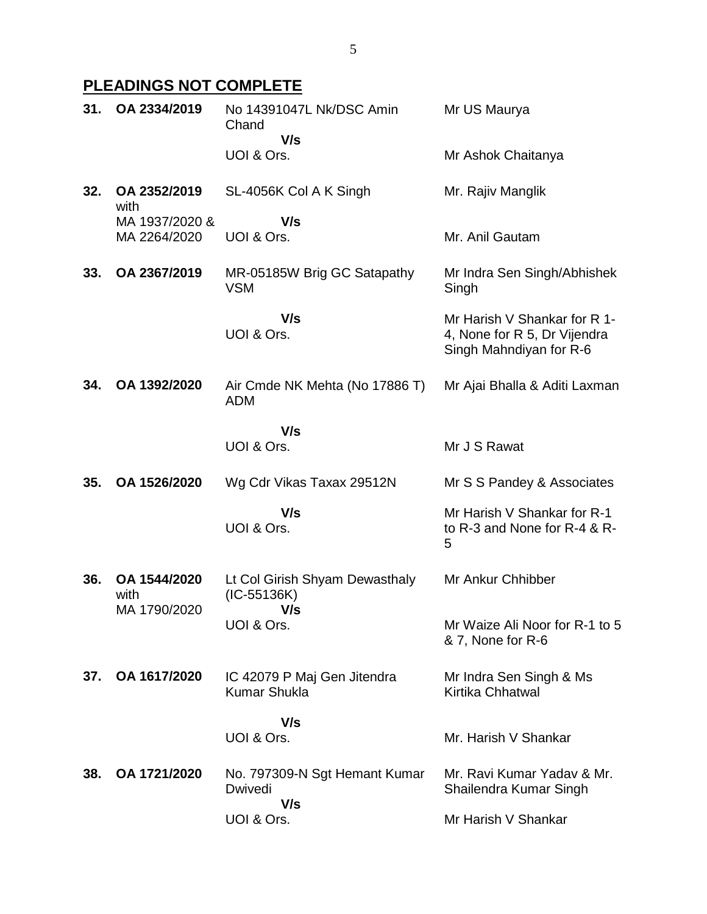# **PLEADINGS NOT COMPLETE**

| 31. | OA 2334/2019                   | No 14391047L Nk/DSC Amin<br>Chand<br>V/s           | Mr US Maurya                                                                            |
|-----|--------------------------------|----------------------------------------------------|-----------------------------------------------------------------------------------------|
|     |                                | UOI & Ors.                                         | Mr Ashok Chaitanya                                                                      |
| 32. | OA 2352/2019<br>with           | SL-4056K Col A K Singh                             | Mr. Rajiv Manglik                                                                       |
|     | MA 1937/2020 &<br>MA 2264/2020 | V/s<br>UOI & Ors.                                  | Mr. Anil Gautam                                                                         |
| 33. | OA 2367/2019                   | MR-05185W Brig GC Satapathy<br><b>VSM</b>          | Mr Indra Sen Singh/Abhishek<br>Singh                                                    |
|     |                                | V/s<br>UOI & Ors.                                  | Mr Harish V Shankar for R 1-<br>4, None for R 5, Dr Vijendra<br>Singh Mahndiyan for R-6 |
| 34. | OA 1392/2020                   | Air Cmde NK Mehta (No 17886 T)<br><b>ADM</b>       | Mr Ajai Bhalla & Aditi Laxman                                                           |
|     |                                | V/s                                                |                                                                                         |
|     |                                |                                                    |                                                                                         |
|     |                                | UOI & Ors.                                         | Mr J S Rawat                                                                            |
| 35. | OA 1526/2020                   | Wg Cdr Vikas Taxax 29512N                          | Mr S S Pandey & Associates                                                              |
|     |                                | V/s<br>UOI & Ors.                                  | Mr Harish V Shankar for R-1<br>to R-3 and None for R-4 & R-<br>5                        |
| 36. | OA 1544/2020<br>with           | Lt Col Girish Shyam Dewasthaly<br>$(IC-55136K)$    | Mr Ankur Chhibber                                                                       |
|     | MA 1790/2020                   | V/s<br>UOI & Ors.                                  | Mr Waize Ali Noor for R-1 to 5<br>& 7, None for R-6                                     |
| 37. | OA 1617/2020                   | IC 42079 P Maj Gen Jitendra<br><b>Kumar Shukla</b> | Mr Indra Sen Singh & Ms<br>Kirtika Chhatwal                                             |
|     |                                | V/s                                                |                                                                                         |
|     |                                | UOI & Ors.                                         | Mr. Harish V Shankar                                                                    |
| 38. | OA 1721/2020                   | No. 797309-N Sgt Hemant Kumar<br>Dwivedi<br>V/s    | Mr. Ravi Kumar Yadav & Mr.<br>Shailendra Kumar Singh                                    |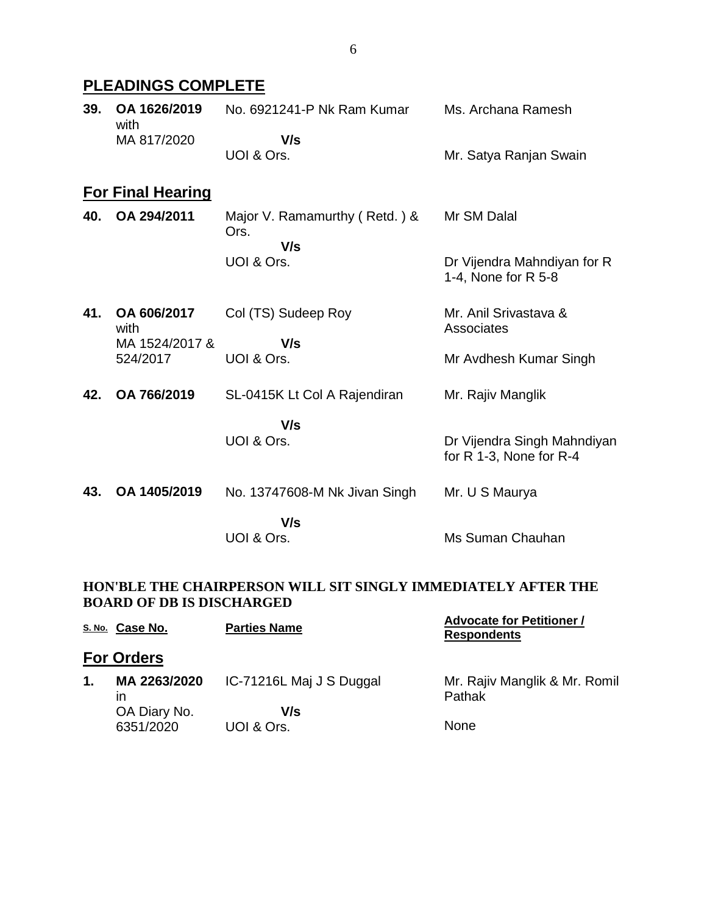# **PLEADINGS COMPLETE**

|  | 39. OA 1626/2019<br>with | No. 6921241-P Nk Ram Kumar | Ms. Archana Ramesh     |
|--|--------------------------|----------------------------|------------------------|
|  | MA 817/2020              | V/s                        |                        |
|  |                          | UOI & Ors.                 | Mr. Satya Ranjan Swain |

# **For Final Hearing**

| 40. OA 294/2011 | Major V. Ramamurthy (Retd.) &<br>Ors. | Mr SM Dalal                                        |
|-----------------|---------------------------------------|----------------------------------------------------|
|                 | V/s                                   |                                                    |
|                 | UOI & Ors.                            | Dr Vijendra Mahndiyan for R<br>1-4, None for R 5-8 |

| 41. OA 606/2017<br>with | Col (TS) Sudeep Roy | Mr. Anil Srivastava &<br>Associates |
|-------------------------|---------------------|-------------------------------------|
| MA 1524/2017 &          | V/s                 |                                     |
| 524/2017                | UOI & Ors.          | Mr Avdhesh Kumar Singh              |

**42. OA 766/2019** SL-0415K Lt Col A Rajendiran Mr. Rajiv Manglik

> **V/s** UOI & Ors.

**43. OA 1405/2019** No. 13747608-M Nk Jivan Singh  **V/s** Mr. U S Maurya

UOI & Ors.

# Ms Suman Chauhan

Dr Vijendra Singh Mahndiyan

for  $\overline{R}$  1-3, None for R-4

#### **HON'BLE THE CHAIRPERSON WILL SIT SINGLY IMMEDIATELY AFTER THE BOARD OF DB IS DISCHARGED**

|    | S. No. Case No.           | <b>Parties Name</b>      | <b>Advocate for Petitioner /</b><br><b>Respondents</b> |
|----|---------------------------|--------------------------|--------------------------------------------------------|
|    | <b>For Orders</b>         |                          |                                                        |
| 1. | MA 2263/2020<br>ın        | IC-71216L Maj J S Duggal | Mr. Rajiv Manglik & Mr. Romil<br>Pathak                |
|    | OA Diary No.<br>6351/2020 | V/s<br>UOI & Ors.        | <b>None</b>                                            |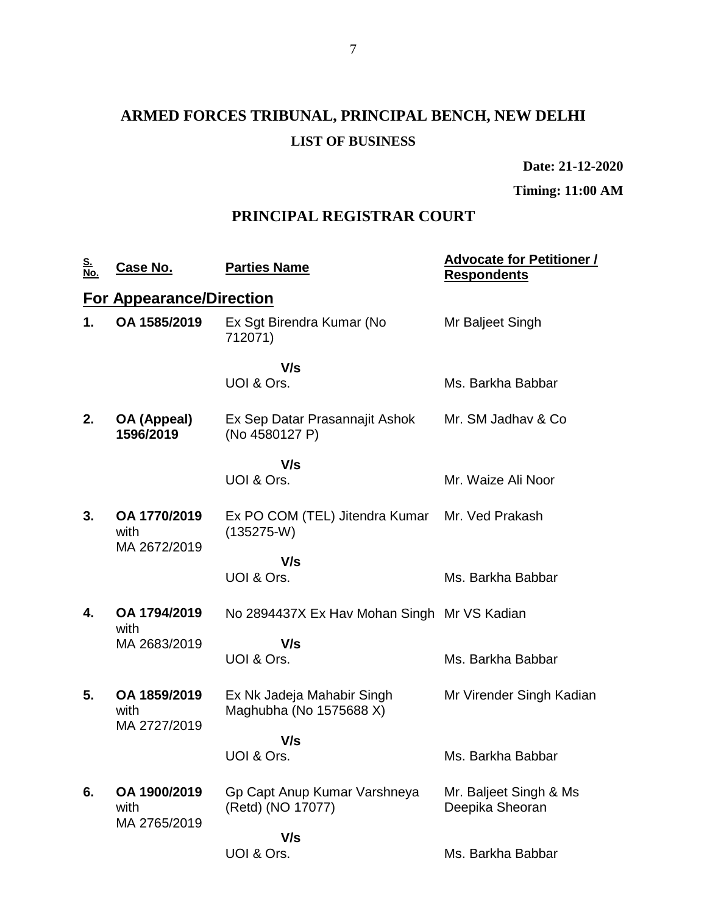# **ARMED FORCES TRIBUNAL, PRINCIPAL BENCH, NEW DELHI LIST OF BUSINESS**

**Date: 21-12-2020**

**Timing: 11:00 AM**

# **PRINCIPAL REGISTRAR COURT**

| <u>S.<br/>No.</u> | Case No.                             | <b>Parties Name</b>                                   | <b>Advocate for Petitioner /</b><br><u>Respondents</u> |
|-------------------|--------------------------------------|-------------------------------------------------------|--------------------------------------------------------|
|                   | <b>For Appearance/Direction</b>      |                                                       |                                                        |
| 1.                | OA 1585/2019                         | Ex Sgt Birendra Kumar (No<br>712071)                  | Mr Baljeet Singh                                       |
|                   |                                      | V/s<br>UOI & Ors.                                     | Ms. Barkha Babbar                                      |
| 2.                | OA (Appeal)<br>1596/2019             | Ex Sep Datar Prasannajit Ashok<br>(No 4580127 P)      | Mr. SM Jadhav & Co.                                    |
|                   |                                      | V/s                                                   |                                                        |
|                   |                                      | UOI & Ors.                                            | Mr. Waize Ali Noor                                     |
| 3.                | OA 1770/2019<br>with<br>MA 2672/2019 | Ex PO COM (TEL) Jitendra Kumar<br>$(135275-W)$        | Mr. Ved Prakash                                        |
|                   |                                      | V/s                                                   |                                                        |
|                   |                                      | UOI & Ors.                                            | Ms. Barkha Babbar                                      |
| 4.                | OA 1794/2019<br>with                 | No 2894437X Ex Hav Mohan Singh Mr VS Kadian           |                                                        |
|                   | MA 2683/2019                         | V/s                                                   |                                                        |
|                   |                                      | UOI & Ors.                                            | Ms. Barkha Babbar                                      |
| 5.                | OA 1859/2019<br>with<br>MA 2727/2019 | Ex Nk Jadeja Mahabir Singh<br>Maghubha (No 1575688 X) | Mr Virender Singh Kadian                               |
|                   |                                      | V/s                                                   |                                                        |
|                   |                                      | UOI & Ors.                                            | Ms. Barkha Babbar                                      |
| 6.                | OA 1900/2019<br>with<br>MA 2765/2019 | Gp Capt Anup Kumar Varshneya<br>(Retd) (NO 17077)     | Mr. Baljeet Singh & Ms<br>Deepika Sheoran              |
|                   |                                      | V/s                                                   |                                                        |
|                   |                                      | UOI & Ors.                                            | Ms. Barkha Babbar                                      |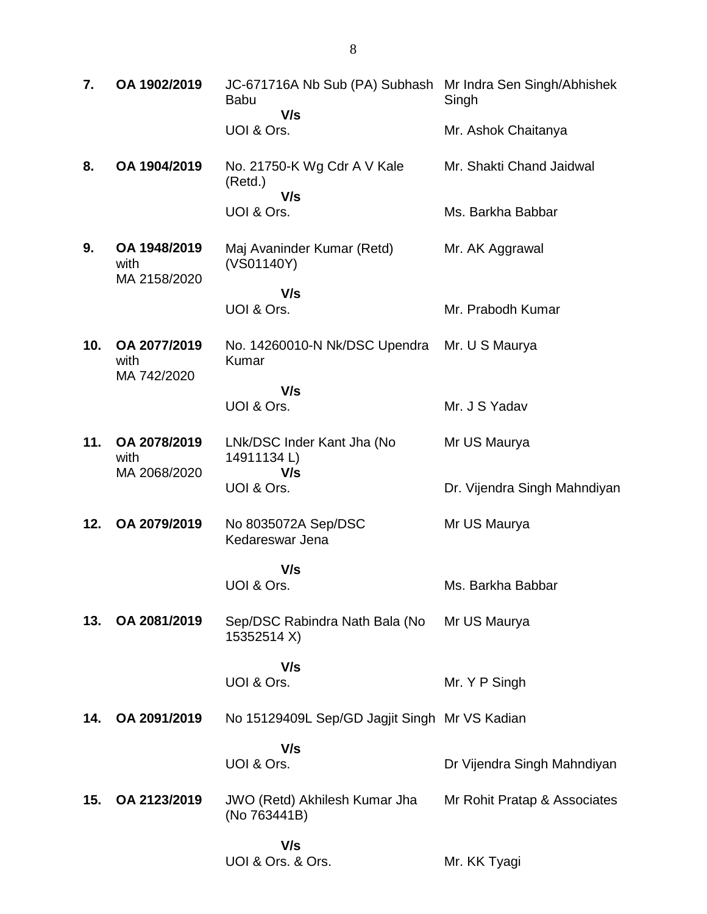| 7.  | OA 1902/2019                         | JC-671716A Nb Sub (PA) Subhash Mr Indra Sen Singh/Abhishek<br><b>Babu</b><br>V/s | Singh                        |
|-----|--------------------------------------|----------------------------------------------------------------------------------|------------------------------|
|     |                                      | UOI & Ors.                                                                       | Mr. Ashok Chaitanya          |
| 8.  | OA 1904/2019                         | No. 21750-K Wg Cdr A V Kale<br>(Retd.)<br>V/s                                    | Mr. Shakti Chand Jaidwal     |
|     |                                      | UOI & Ors.                                                                       | Ms. Barkha Babbar            |
| 9.  | OA 1948/2019<br>with<br>MA 2158/2020 | Maj Avaninder Kumar (Retd)<br>(VS01140Y)                                         | Mr. AK Aggrawal              |
|     |                                      | V/s<br>UOI & Ors.                                                                | Mr. Prabodh Kumar            |
|     |                                      |                                                                                  |                              |
| 10. | OA 2077/2019<br>with<br>MA 742/2020  | No. 14260010-N Nk/DSC Upendra<br>Kumar                                           | Mr. U S Maurya               |
|     |                                      | V/s<br>UOI & Ors.                                                                | Mr. J S Yadav                |
| 11. | OA 2078/2019<br>with<br>MA 2068/2020 | LNk/DSC Inder Kant Jha (No<br>14911134 L)<br>V/s                                 | Mr US Maurya                 |
|     |                                      | UOI & Ors.                                                                       | Dr. Vijendra Singh Mahndiyan |
| 12. | OA 2079/2019                         | No 8035072A Sep/DSC<br>Kedareswar Jena                                           | Mr US Maurya                 |
|     |                                      | V/s                                                                              |                              |
|     |                                      | UOI & Ors.                                                                       | Ms. Barkha Babbar            |
| 13. | OA 2081/2019                         | Sep/DSC Rabindra Nath Bala (No<br>15352514 X)                                    | Mr US Maurya                 |
|     |                                      | V/s                                                                              |                              |
|     |                                      | UOI & Ors.                                                                       | Mr. Y P Singh                |
| 14. | OA 2091/2019                         | No 15129409L Sep/GD Jagjit Singh Mr VS Kadian                                    |                              |
|     |                                      | V/s                                                                              |                              |
|     |                                      | UOI & Ors.                                                                       | Dr Vijendra Singh Mahndiyan  |
| 15. | OA 2123/2019                         | JWO (Retd) Akhilesh Kumar Jha<br>(No 763441B)                                    | Mr Rohit Pratap & Associates |
|     |                                      | V/s                                                                              |                              |
|     |                                      | UOI & Ors. & Ors.                                                                | Mr. KK Tyagi                 |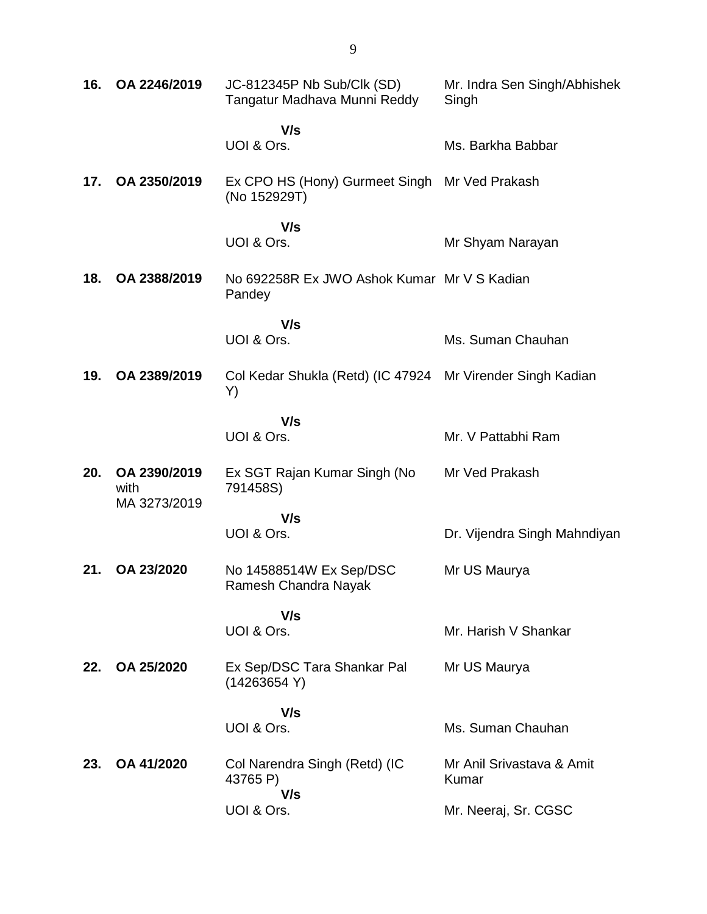| 16. | OA 2246/2019         | JC-812345P Nb Sub/Clk (SD)<br>Tangatur Madhava Munni Reddy       | Mr. Indra Sen Singh/Abhishek<br>Singh |
|-----|----------------------|------------------------------------------------------------------|---------------------------------------|
|     |                      | V/s<br>UOI & Ors.                                                | Ms. Barkha Babbar                     |
| 17. | OA 2350/2019         | Ex CPO HS (Hony) Gurmeet Singh<br>(No 152929T)                   | Mr Ved Prakash                        |
|     |                      | V/s<br>UOI & Ors.                                                | Mr Shyam Narayan                      |
| 18. | OA 2388/2019         | No 692258R Ex JWO Ashok Kumar Mr V S Kadian<br>Pandey            |                                       |
|     |                      | V/s<br>UOI & Ors.                                                | Ms. Suman Chauhan                     |
| 19. | OA 2389/2019         | Col Kedar Shukla (Retd) (IC 47924 Mr Virender Singh Kadian<br>Y) |                                       |
|     |                      | V/s<br>UOI & Ors.                                                | Mr. V Pattabhi Ram                    |
| 20. | OA 2390/2019<br>with | Ex SGT Rajan Kumar Singh (No<br>791458S)                         | Mr Ved Prakash                        |
|     | MA 3273/2019         | V/s<br>UOI & Ors.                                                | Dr. Vijendra Singh Mahndiyan          |
| 21. | OA 23/2020           | No 14588514W Ex Sep/DSC<br>Ramesh Chandra Nayak                  | Mr US Maurya                          |
|     |                      | V/s<br>UOI & Ors.                                                | Mr. Harish V Shankar                  |
| 22. | OA 25/2020           | Ex Sep/DSC Tara Shankar Pal<br>(14263654 Y)                      | Mr US Maurya                          |
|     |                      | V/s<br>UOI & Ors.                                                | Ms. Suman Chauhan                     |
| 23. | OA 41/2020           | Col Narendra Singh (Retd) (IC<br>43765 P)                        | Mr Anil Srivastava & Amit<br>Kumar    |
|     |                      | V/s<br>UOI & Ors.                                                | Mr. Neeraj, Sr. CGSC                  |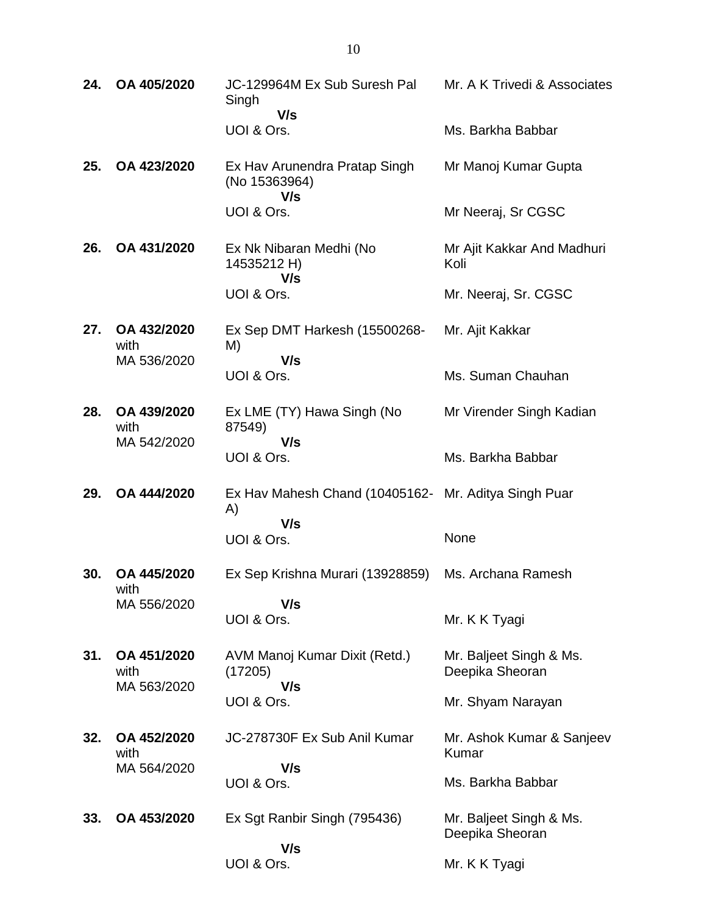| 24. | OA 405/2020                        | JC-129964M Ex Sub Suresh Pal<br>Singh<br>V/s                      | Mr. A K Trivedi & Associates               |
|-----|------------------------------------|-------------------------------------------------------------------|--------------------------------------------|
|     |                                    | UOI & Ors.                                                        | Ms. Barkha Babbar                          |
| 25. | OA 423/2020                        | Ex Hav Arunendra Pratap Singh<br>(No 15363964)<br>V/s             | Mr Manoj Kumar Gupta                       |
|     |                                    | UOI & Ors.                                                        | Mr Neeraj, Sr CGSC                         |
| 26. | OA 431/2020                        | Ex Nk Nibaran Medhi (No<br>14535212 H)<br>V/s                     | Mr Ajit Kakkar And Madhuri<br>Koli         |
|     |                                    | UOI & Ors.                                                        | Mr. Neeraj, Sr. CGSC                       |
| 27. | OA 432/2020<br>with                | Ex Sep DMT Harkesh (15500268-<br>M)<br>V/s                        | Mr. Ajit Kakkar                            |
|     | MA 536/2020                        | UOI & Ors.                                                        | Ms. Suman Chauhan                          |
| 28. | OA 439/2020<br>with<br>MA 542/2020 | Ex LME (TY) Hawa Singh (No<br>87549)                              | Mr Virender Singh Kadian                   |
|     |                                    | V/s<br>UOI & Ors.                                                 | Ms. Barkha Babbar                          |
| 29. | OA 444/2020                        | Ex Hav Mahesh Chand (10405162- Mr. Aditya Singh Puar<br>A)<br>V/s |                                            |
|     |                                    | UOI & Ors.                                                        | None                                       |
| 30. | OA 445/2020<br>with                | Ex Sep Krishna Murari (13928859)                                  | Ms. Archana Ramesh                         |
|     | MA 556/2020                        | V/s<br>UOI & Ors.                                                 | Mr. K K Tyagi                              |
| 31. | OA 451/2020<br>with<br>MA 563/2020 | AVM Manoj Kumar Dixit (Retd.)<br>(17205)<br>V/s                   | Mr. Baljeet Singh & Ms.<br>Deepika Sheoran |
|     |                                    | UOI & Ors.                                                        | Mr. Shyam Narayan                          |
| 32. | OA 452/2020<br>with                | JC-278730F Ex Sub Anil Kumar                                      | Mr. Ashok Kumar & Sanjeev<br>Kumar         |
|     | MA 564/2020                        | V/s<br>UOI & Ors.                                                 | Ms. Barkha Babbar                          |
| 33. | OA 453/2020                        | Ex Sgt Ranbir Singh (795436)                                      | Mr. Baljeet Singh & Ms.<br>Deepika Sheoran |
|     |                                    | V/s<br>UOI & Ors.                                                 | Mr. K K Tyagi                              |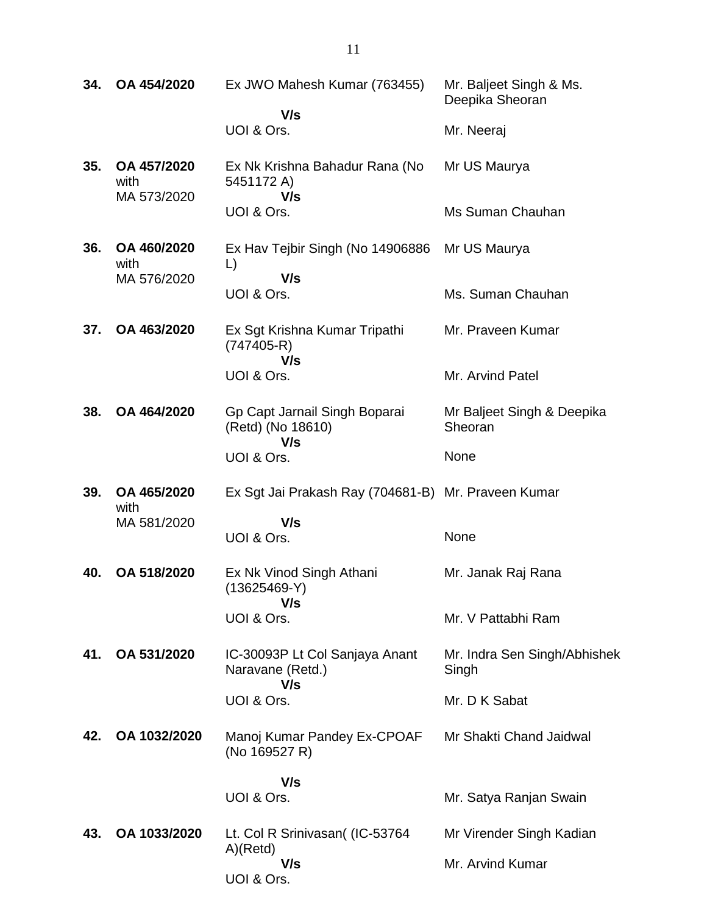| 34. | OA 454/2020                        | Ex JWO Mahesh Kumar (763455)                              | Mr. Baljeet Singh & Ms.<br>Deepika Sheoran |
|-----|------------------------------------|-----------------------------------------------------------|--------------------------------------------|
|     |                                    | V/s<br>UOI & Ors.                                         | Mr. Neeraj                                 |
| 35. | OA 457/2020<br>with<br>MA 573/2020 | Ex Nk Krishna Bahadur Rana (No<br>5451172 A)<br>V/s       | Mr US Maurya                               |
|     |                                    | UOI & Ors.                                                | Ms Suman Chauhan                           |
| 36. | OA 460/2020<br>with                | Ex Hav Tejbir Singh (No 14906886<br>$\mathsf{L}$          | Mr US Maurya                               |
|     | MA 576/2020                        | V/s<br>UOI & Ors.                                         | Ms. Suman Chauhan                          |
| 37. | OA 463/2020                        | Ex Sgt Krishna Kumar Tripathi<br>$(747405-R)$<br>V/s      | Mr. Praveen Kumar                          |
|     |                                    | UOI & Ors.                                                | Mr. Arvind Patel                           |
| 38. | OA 464/2020                        | Gp Capt Jarnail Singh Boparai<br>(Retd) (No 18610)<br>V/s | Mr Baljeet Singh & Deepika<br>Sheoran      |
|     |                                    | UOI & Ors.                                                | None                                       |
| 39. | OA 465/2020<br>with                | Ex Sgt Jai Prakash Ray (704681-B) Mr. Praveen Kumar       |                                            |
|     | MA 581/2020                        | V/s<br>UOI & Ors.                                         | None                                       |
| 40. | OA 518/2020                        | Ex Nk Vinod Singh Athani<br>$(13625469-Y)$<br>V/s         | Mr. Janak Raj Rana                         |
|     |                                    | UOI & Ors.                                                | Mr. V Pattabhi Ram                         |
| 41. | OA 531/2020                        | IC-30093P Lt Col Sanjaya Anant<br>Naravane (Retd.)<br>V/s | Mr. Indra Sen Singh/Abhishek<br>Singh      |
|     |                                    | UOI & Ors.                                                | Mr. D K Sabat                              |
| 42. | OA 1032/2020                       | Manoj Kumar Pandey Ex-CPOAF<br>(No 169527 R)              | Mr Shakti Chand Jaidwal                    |
|     |                                    | V/s                                                       |                                            |
|     |                                    | UOI & Ors.                                                | Mr. Satya Ranjan Swain                     |
| 43. | OA 1033/2020                       | Lt. Col R Srinivasan( (IC-53764<br>A)(Retd)               | Mr Virender Singh Kadian                   |
|     |                                    | V/s<br>UOI & Ors.                                         | Mr. Arvind Kumar                           |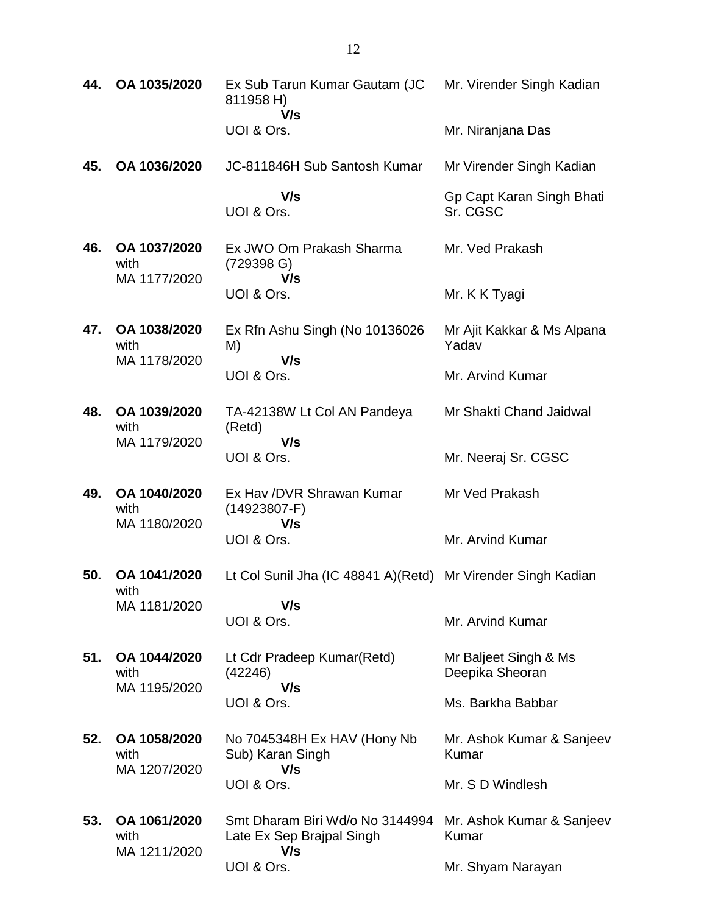| 44. | OA 1035/2020                         | Ex Sub Tarun Kumar Gautam (JC<br>811958 H)<br>V/s                   | Mr. Virender Singh Kadian                |
|-----|--------------------------------------|---------------------------------------------------------------------|------------------------------------------|
|     |                                      | UOI & Ors.                                                          | Mr. Niranjana Das                        |
| 45. | OA 1036/2020                         | JC-811846H Sub Santosh Kumar                                        | Mr Virender Singh Kadian                 |
|     |                                      | V/s<br>UOI & Ors.                                                   | Gp Capt Karan Singh Bhati<br>Sr. CGSC    |
| 46. | OA 1037/2020<br>with                 | Ex JWO Om Prakash Sharma<br>(729398 G)<br>V/s                       | Mr. Ved Prakash                          |
|     | MA 1177/2020                         | UOI & Ors.                                                          | Mr. K K Tyagi                            |
| 47. | OA 1038/2020<br>with<br>MA 1178/2020 | Ex Rfn Ashu Singh (No 10136026<br>M)<br>V/s                         | Mr Ajit Kakkar & Ms Alpana<br>Yadav      |
|     |                                      | UOI & Ors.                                                          | Mr. Arvind Kumar                         |
| 48. | OA 1039/2020<br>with                 | TA-42138W Lt Col AN Pandeya<br>(Retd)                               | Mr Shakti Chand Jaidwal                  |
|     | MA 1179/2020                         | V/s<br>UOI & Ors.                                                   | Mr. Neeraj Sr. CGSC                      |
| 49. | OA 1040/2020<br>with<br>MA 1180/2020 | Ex Hav / DVR Shrawan Kumar<br>$(14923807-F)$<br>V/s                 | Mr Ved Prakash                           |
|     |                                      | UOI & Ors.                                                          | Mr. Arvind Kumar                         |
| 50. | OA 1041/2020<br>with                 | Lt Col Sunil Jha (IC 48841 A) (Retd) Mr Virender Singh Kadian       |                                          |
|     | MA 1181/2020                         | V/s<br>UOI & Ors.                                                   | Mr. Arvind Kumar                         |
| 51. | OA 1044/2020<br>with<br>MA 1195/2020 | Lt Cdr Pradeep Kumar(Retd)<br>(42246)<br>V/s                        | Mr Baljeet Singh & Ms<br>Deepika Sheoran |
|     |                                      | UOI & Ors.                                                          | Ms. Barkha Babbar                        |
| 52. | OA 1058/2020<br>with<br>MA 1207/2020 | No 7045348H Ex HAV (Hony Nb<br>Sub) Karan Singh<br>V/s              | Mr. Ashok Kumar & Sanjeev<br>Kumar       |
|     |                                      | UOI & Ors.                                                          | Mr. S D Windlesh                         |
| 53. | OA 1061/2020<br>with<br>MA 1211/2020 | Smt Dharam Biri Wd/o No 3144994<br>Late Ex Sep Brajpal Singh<br>V/s | Mr. Ashok Kumar & Sanjeev<br>Kumar       |
|     |                                      | UOI & Ors.                                                          | Mr. Shyam Narayan                        |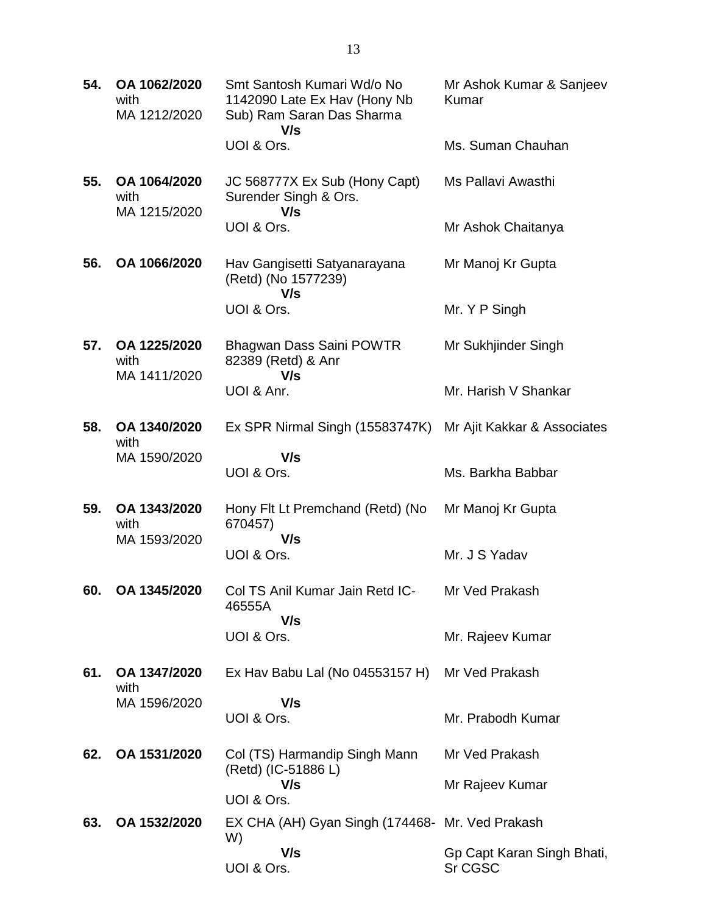| 54. | OA 1062/2020<br>with<br>MA 1212/2020 | Smt Santosh Kumari Wd/o No<br>1142090 Late Ex Hav (Hony Nb<br>Sub) Ram Saran Das Sharma<br>V/s | Mr Ashok Kumar & Sanjeev<br>Kumar     |
|-----|--------------------------------------|------------------------------------------------------------------------------------------------|---------------------------------------|
|     |                                      | UOI & Ors.                                                                                     | Ms. Suman Chauhan                     |
| 55. | OA 1064/2020<br>with<br>MA 1215/2020 | JC 568777X Ex Sub (Hony Capt)<br>Surender Singh & Ors.<br>V/s                                  | Ms Pallavi Awasthi                    |
|     |                                      | UOI & Ors.                                                                                     | Mr Ashok Chaitanya                    |
| 56. | OA 1066/2020                         | Hav Gangisetti Satyanarayana<br>(Retd) (No 1577239)<br>V/s                                     | Mr Manoj Kr Gupta                     |
|     |                                      | UOI & Ors.                                                                                     | Mr. Y P Singh                         |
| 57. | OA 1225/2020<br>with<br>MA 1411/2020 | Bhagwan Dass Saini POWTR<br>82389 (Retd) & Anr<br>V/s                                          | Mr Sukhjinder Singh                   |
|     |                                      | UOI & Anr.                                                                                     | Mr. Harish V Shankar                  |
| 58. | OA 1340/2020<br>with                 | Ex SPR Nirmal Singh (15583747K)                                                                | Mr Ajit Kakkar & Associates           |
|     | MA 1590/2020                         | V/s<br>UOI & Ors.                                                                              | Ms. Barkha Babbar                     |
| 59. | OA 1343/2020<br>with<br>MA 1593/2020 | Hony Fit Lt Premchand (Retd) (No<br>670457)<br>V/s                                             | Mr Manoj Kr Gupta                     |
|     |                                      | UOI & Ors.                                                                                     | Mr. J S Yadav                         |
| 60. | OA 1345/2020                         | Col TS Anil Kumar Jain Retd IC-<br>46555A<br>V/s                                               | Mr Ved Prakash                        |
|     |                                      | UOI & Ors.                                                                                     | Mr. Rajeev Kumar                      |
| 61. | OA 1347/2020<br>with                 | Ex Hav Babu Lal (No 04553157 H) Mr Ved Prakash                                                 |                                       |
|     | MA 1596/2020                         | V/s                                                                                            |                                       |
|     |                                      | UOI & Ors.                                                                                     | Mr. Prabodh Kumar                     |
| 62. | OA 1531/2020                         | Col (TS) Harmandip Singh Mann<br>(Retd) (IC-51886 L)                                           | Mr Ved Prakash                        |
|     |                                      | V/s<br>UOI & Ors.                                                                              | Mr Rajeev Kumar                       |
| 63. | OA 1532/2020                         | EX CHA (AH) Gyan Singh (174468- Mr. Ved Prakash<br>W)                                          |                                       |
|     |                                      | V/s<br>UOI & Ors.                                                                              | Gp Capt Karan Singh Bhati,<br>Sr CGSC |